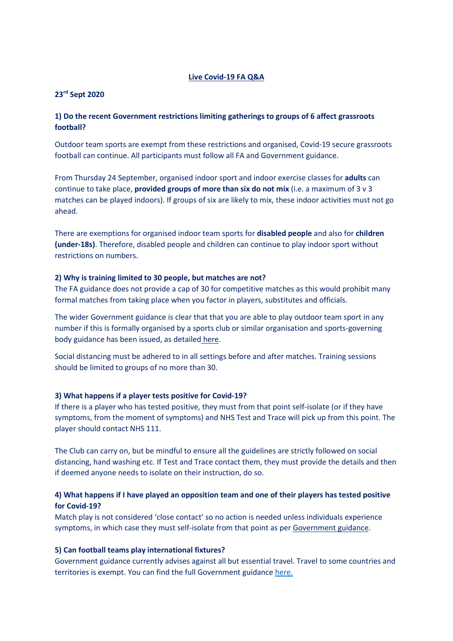### Live Covid-19 FA Q&A

#### 23rd Sept 2020

## 1) Do the recent Government restrictions limiting gatherings to groups of 6 affect grassroots football?

Outdoor team sports are exempt from these restrictions and organised, Covid-19 secure grassroots football can continue. All participants must follow all FA and Government guidance.

From Thursday 24 September, organised indoor sport and indoor exercise classes for adults can continue to take place, **provided groups of more than six do not mix** (i.e. a maximum of 3  $\vee$  3 matches can be played indoors). If groups of six are likely to mix, these indoor activities must not go ahead.

There are exemptions for organised indoor team sports for **disabled people** and also for **children** (under-18s). Therefore, disabled people and children can continue to play indoor sport without restrictions on numbers.

### 2) Why is training limited to 30 people, but matches are not?

The FA guidance does not provide a cap of 30 for competitive matches as this would prohibit many formal matches from taking place when you factor in players, substitutes and officials.

The wider Government guidance is clear that that you are able to play outdoor team sport in any number if this is formally organised by a sports club or similar organisation and sports-governing body guidance has been issued, as detailed here.

Social distancing must be adhered to in all settings before and after matches. Training sessions should be limited to groups of no more than 30.

## 3) What happens if a player tests positive for Covid-19?

If there is a player who has tested positive, they must from that point self-isolate (or if they have symptoms, from the moment of symptoms) and NHS Test and Trace will pick up from this point. The player should contact NHS 111.

The Club can carry on, but be mindful to ensure all the guidelines are strictly followed on social distancing, hand washing etc. If Test and Trace contact them, they must provide the details and then if deemed anyone needs to isolate on their instruction, do so.

## 4) What happens if I have played an opposition team and one of their players has tested positive for Covid-19?

Match play is not considered 'close contact' so no action is needed unless individuals experience symptoms, in which case they must self-isolate from that point as per Government guidance.

#### 5) Can football teams play international fixtures?

Government guidance currently advises against all but essential travel. Travel to some countries and territories is exempt. You can find the full Government guidance here.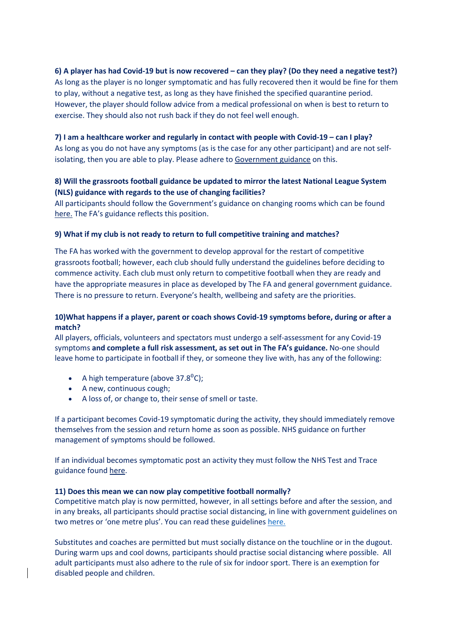## 6) A player has had Covid-19 but is now recovered – can they play? (Do they need a negative test?)

As long as the player is no longer symptomatic and has fully recovered then it would be fine for them to play, without a negative test, as long as they have finished the specified quarantine period. However, the player should follow advice from a medical professional on when is best to return to exercise. They should also not rush back if they do not feel well enough.

## 7) I am a healthcare worker and regularly in contact with people with Covid-19 – can I play?

As long as you do not have any symptoms (as is the case for any other participant) and are not selfisolating, then you are able to play. Please adhere to Government guidance on this.

## 8) Will the grassroots football guidance be updated to mirror the latest National League System (NLS) guidance with regards to the use of changing facilities?

All participants should follow the Government's guidance on changing rooms which can be found here. The FA's guidance reflects this position.

### 9) What if my club is not ready to return to full competitive training and matches?

The FA has worked with the government to develop approval for the restart of competitive grassroots football; however, each club should fully understand the guidelines before deciding to commence activity. Each club must only return to competitive football when they are ready and have the appropriate measures in place as developed by The FA and general government guidance. There is no pressure to return. Everyone's health, wellbeing and safety are the priorities.

## 10)What happens if a player, parent or coach shows Covid-19 symptoms before, during or after a match?

All players, officials, volunteers and spectators must undergo a self-assessment for any Covid-19 symptoms and complete a full risk assessment, as set out in The FA's guidance. No-one should leave home to participate in football if they, or someone they live with, has any of the following:

- A high temperature (above  $37.8^{\circ}$ C);
- A new, continuous cough;
- A loss of, or change to, their sense of smell or taste.

If a participant becomes Covid-19 symptomatic during the activity, they should immediately remove themselves from the session and return home as soon as possible. NHS guidance on further management of symptoms should be followed.

If an individual becomes symptomatic post an activity they must follow the NHS Test and Trace guidance found here.

## 11) Does this mean we can now play competitive football normally?

Competitive match play is now permitted, however, in all settings before and after the session, and in any breaks, all participants should practise social distancing, in line with government guidelines on two metres or 'one metre plus'. You can read these guidelines here.

Substitutes and coaches are permitted but must socially distance on the touchline or in the dugout. During warm ups and cool downs, participants should practise social distancing where possible. All adult participants must also adhere to the rule of six for indoor sport. There is an exemption for disabled people and children.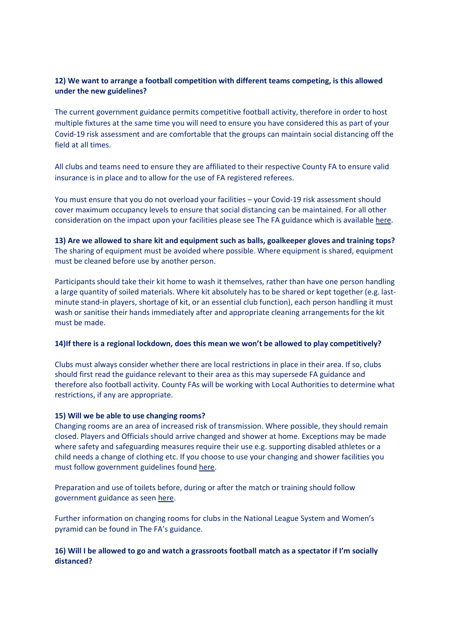## 12) We want to arrange a football competition with different teams competing, is this allowed under the new guidelines?

The current government guidance permits competitive football activity, therefore in order to host multiple fixtures at the same time you will need to ensure you have considered this as part of your Covid-19 risk assessment and are comfortable that the groups can maintain social distancing off the field at all times.

All clubs and teams need to ensure they are affiliated to their respective County FA to ensure valid insurance is in place and to allow for the use of FA registered referees.

You must ensure that you do not overload your facilities – your Covid-19 risk assessment should cover maximum occupancy levels to ensure that social distancing can be maintained. For all other consideration on the impact upon your facilities please see The FA guidance which is available here.

13) Are we allowed to share kit and equipment such as balls, goalkeeper gloves and training tops? The sharing of equipment must be avoided where possible. Where equipment is shared, equipment must be cleaned before use by another person.

Participants should take their kit home to wash it themselves, rather than have one person handling a large quantity of soiled materials. Where kit absolutely has to be shared or kept together (e.g. lastminute stand-in players, shortage of kit, or an essential club function), each person handling it must wash or sanitise their hands immediately after and appropriate cleaning arrangements for the kit must be made.

#### 14)If there is a regional lockdown, does this mean we won't be allowed to play competitively?

Clubs must always consider whether there are local restrictions in place in their area. If so, clubs should first read the guidance relevant to their area as this may supersede FA guidance and therefore also football activity. County FAs will be working with Local Authorities to determine what restrictions, if any are appropriate.

#### 15) Will we be able to use changing rooms?

Changing rooms are an area of increased risk of transmission. Where possible, they should remain closed. Players and Officials should arrive changed and shower at home. Exceptions may be made where safety and safeguarding measures require their use e.g. supporting disabled athletes or a child needs a change of clothing etc. If you choose to use your changing and shower facilities you must follow government guidelines found here.

Preparation and use of toilets before, during or after the match or training should follow government guidance as seen here.

Further information on changing rooms for clubs in the National League System and Women's pyramid can be found in The FA's guidance.

## 16) Will I be allowed to go and watch a grassroots football match as a spectator if I'm socially distanced?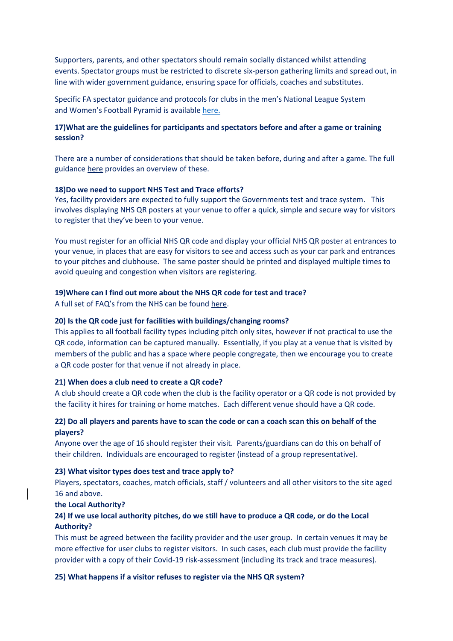Supporters, parents, and other spectators should remain socially distanced whilst attending events. Spectator groups must be restricted to discrete six-person gathering limits and spread out, in line with wider government guidance, ensuring space for officials, coaches and substitutes.

Specific FA spectator guidance and protocols for clubs in the men's National League System and Women's Football Pyramid is available here.

## 17)What are the guidelines for participants and spectators before and after a game or training session?

There are a number of considerations that should be taken before, during and after a game. The full guidance here provides an overview of these.

#### 18)Do we need to support NHS Test and Trace efforts?

Yes, facility providers are expected to fully support the Governments test and trace system. This involves displaying NHS QR posters at your venue to offer a quick, simple and secure way for visitors to register that they've been to your venue.

You must register for an official NHS QR code and display your official NHS QR poster at entrances to your venue, in places that are easy for visitors to see and access such as your car park and entrances to your pitches and clubhouse. The same poster should be printed and displayed multiple times to avoid queuing and congestion when visitors are registering.

#### 19)Where can I find out more about the NHS QR code for test and trace?

A full set of FAQ's from the NHS can be found here.

### 20) Is the QR code just for facilities with buildings/changing rooms?

This applies to all football facility types including pitch only sites, however if not practical to use the QR code, information can be captured manually. Essentially, if you play at a venue that is visited by members of the public and has a space where people congregate, then we encourage you to create a QR code poster for that venue if not already in place.

#### 21) When does a club need to create a QR code?

A club should create a QR code when the club is the facility operator or a QR code is not provided by the facility it hires for training or home matches. Each different venue should have a QR code.

## 22) Do all players and parents have to scan the code or can a coach scan this on behalf of the players?

Anyone over the age of 16 should register their visit. Parents/guardians can do this on behalf of their children. Individuals are encouraged to register (instead of a group representative).

#### 23) What visitor types does test and trace apply to?

Players, spectators, coaches, match officials, staff / volunteers and all other visitors to the site aged 16 and above.

#### the Local Authority?

## 24) If we use local authority pitches, do we still have to produce a QR code, or do the Local Authority?

This must be agreed between the facility provider and the user group. In certain venues it may be more effective for user clubs to register visitors. In such cases, each club must provide the facility provider with a copy of their Covid-19 risk-assessment (including its track and trace measures).

#### 25) What happens if a visitor refuses to register via the NHS QR system?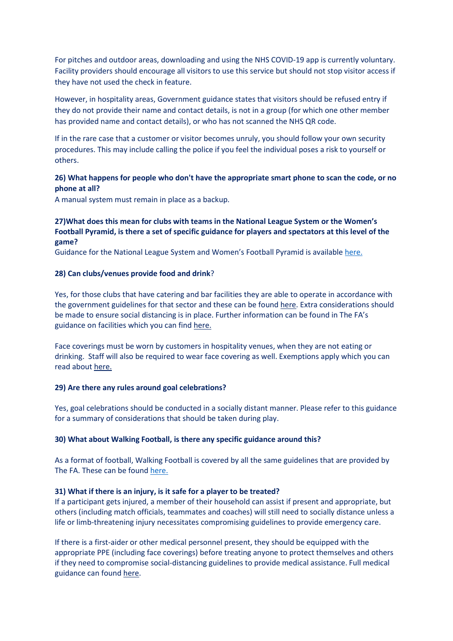For pitches and outdoor areas, downloading and using the NHS COVID-19 app is currently voluntary. Facility providers should encourage all visitors to use this service but should not stop visitor access if they have not used the check in feature.

However, in hospitality areas, Government guidance states that visitors should be refused entry if they do not provide their name and contact details, is not in a group (for which one other member has provided name and contact details), or who has not scanned the NHS QR code.

If in the rare case that a customer or visitor becomes unruly, you should follow your own security procedures. This may include calling the police if you feel the individual poses a risk to yourself or others.

## 26) What happens for people who don't have the appropriate smart phone to scan the code, or no phone at all?

A manual system must remain in place as a backup.

## 27)What does this mean for clubs with teams in the National League System or the Women's Football Pyramid, is there a set of specific guidance for players and spectators at this level of the game?

Guidance for the National League System and Women's Football Pyramid is available here.

### 28) Can clubs/venues provide food and drink?

Yes, for those clubs that have catering and bar facilities they are able to operate in accordance with the government guidelines for that sector and these can be found here. Extra considerations should be made to ensure social distancing is in place. Further information can be found in The FA's guidance on facilities which you can find here.

Face coverings must be worn by customers in hospitality venues, when they are not eating or drinking. Staff will also be required to wear face covering as well. Exemptions apply which you can read about here.

#### 29) Are there any rules around goal celebrations?

Yes, goal celebrations should be conducted in a socially distant manner. Please refer to this guidance for a summary of considerations that should be taken during play.

#### 30) What about Walking Football, is there any specific guidance around this?

As a format of football, Walking Football is covered by all the same guidelines that are provided by The FA. These can be found here.

### 31) What if there is an injury, is it safe for a player to be treated?

If a participant gets injured, a member of their household can assist if present and appropriate, but others (including match officials, teammates and coaches) will still need to socially distance unless a life or limb-threatening injury necessitates compromising guidelines to provide emergency care.

If there is a first-aider or other medical personnel present, they should be equipped with the appropriate PPE (including face coverings) before treating anyone to protect themselves and others if they need to compromise social-distancing guidelines to provide medical assistance. Full medical guidance can found here.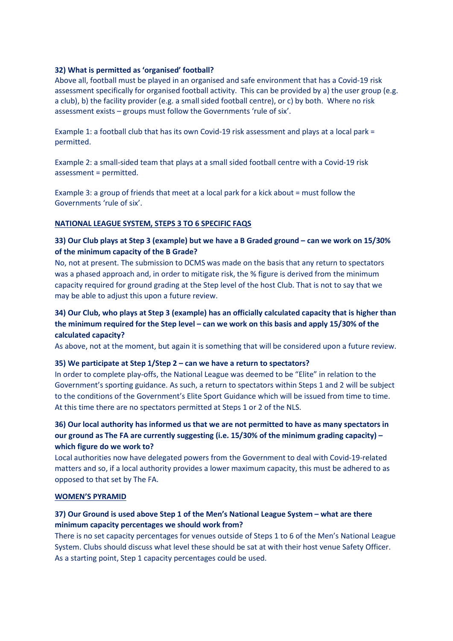## 32) What is permitted as 'organised' football?

Above all, football must be played in an organised and safe environment that has a Covid-19 risk assessment specifically for organised football activity. This can be provided by a) the user group (e.g. a club), b) the facility provider (e.g. a small sided football centre), or c) by both. Where no risk assessment exists – groups must follow the Governments 'rule of six'.

Example 1: a football club that has its own Covid-19 risk assessment and plays at a local park = permitted.

Example 2: a small-sided team that plays at a small sided football centre with a Covid-19 risk assessment = permitted.

Example 3: a group of friends that meet at a local park for a kick about = must follow the Governments 'rule of six'.

## NATIONAL LEAGUE SYSTEM, STEPS 3 TO 6 SPECIFIC FAQS

## 33) Our Club plays at Step 3 (example) but we have a B Graded ground – can we work on 15/30% of the minimum capacity of the B Grade?

No, not at present. The submission to DCMS was made on the basis that any return to spectators was a phased approach and, in order to mitigate risk, the % figure is derived from the minimum capacity required for ground grading at the Step level of the host Club. That is not to say that we may be able to adjust this upon a future review.

# 34) Our Club, who plays at Step 3 (example) has an officially calculated capacity that is higher than the minimum required for the Step level – can we work on this basis and apply 15/30% of the calculated capacity?

As above, not at the moment, but again it is something that will be considered upon a future review.

## 35) We participate at Step 1/Step 2 – can we have a return to spectators?

In order to complete play-offs, the National League was deemed to be "Elite" in relation to the Government's sporting guidance. As such, a return to spectators within Steps 1 and 2 will be subject to the conditions of the Government's Elite Sport Guidance which will be issued from time to time. At this time there are no spectators permitted at Steps 1 or 2 of the NLS.

# 36) Our local authority has informed us that we are not permitted to have as many spectators in our ground as The FA are currently suggesting (i.e. 15/30% of the minimum grading capacity) – which figure do we work to?

Local authorities now have delegated powers from the Government to deal with Covid-19-related matters and so, if a local authority provides a lower maximum capacity, this must be adhered to as opposed to that set by The FA.

#### WOMEN'S PYRAMID

## 37) Our Ground is used above Step 1 of the Men's National League System – what are there minimum capacity percentages we should work from?

There is no set capacity percentages for venues outside of Steps 1 to 6 of the Men's National League System. Clubs should discuss what level these should be sat at with their host venue Safety Officer. As a starting point, Step 1 capacity percentages could be used.